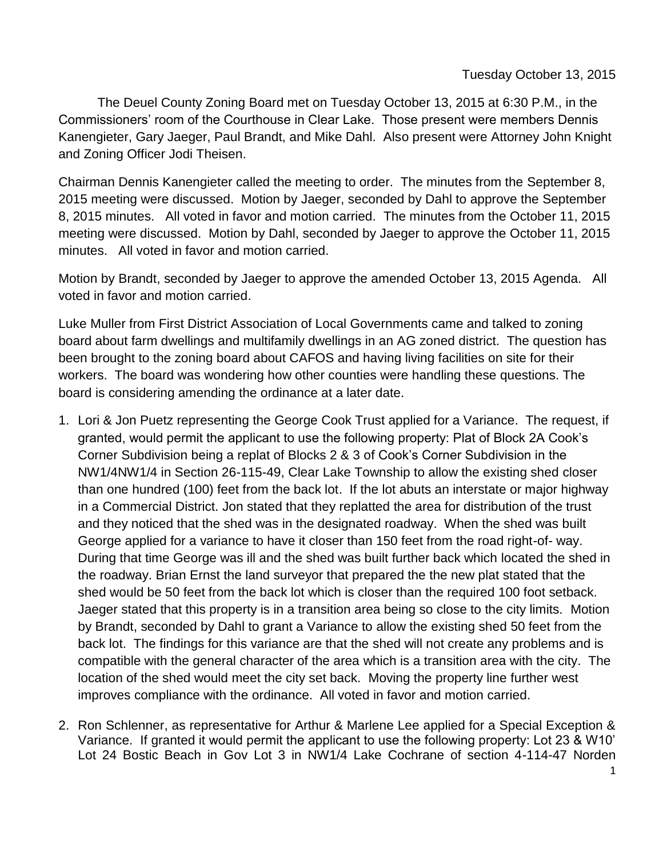The Deuel County Zoning Board met on Tuesday October 13, 2015 at 6:30 P.M., in the Commissioners' room of the Courthouse in Clear Lake. Those present were members Dennis Kanengieter, Gary Jaeger, Paul Brandt, and Mike Dahl. Also present were Attorney John Knight and Zoning Officer Jodi Theisen.

Chairman Dennis Kanengieter called the meeting to order. The minutes from the September 8, 2015 meeting were discussed. Motion by Jaeger, seconded by Dahl to approve the September 8, 2015 minutes. All voted in favor and motion carried. The minutes from the October 11, 2015 meeting were discussed. Motion by Dahl, seconded by Jaeger to approve the October 11, 2015 minutes. All voted in favor and motion carried.

Motion by Brandt, seconded by Jaeger to approve the amended October 13, 2015 Agenda. All voted in favor and motion carried.

Luke Muller from First District Association of Local Governments came and talked to zoning board about farm dwellings and multifamily dwellings in an AG zoned district. The question has been brought to the zoning board about CAFOS and having living facilities on site for their workers. The board was wondering how other counties were handling these questions. The board is considering amending the ordinance at a later date.

- 1. Lori & Jon Puetz representing the George Cook Trust applied for a Variance. The request, if granted, would permit the applicant to use the following property: Plat of Block 2A Cook's Corner Subdivision being a replat of Blocks 2 & 3 of Cook's Corner Subdivision in the NW1/4NW1/4 in Section 26-115-49, Clear Lake Township to allow the existing shed closer than one hundred (100) feet from the back lot. If the lot abuts an interstate or major highway in a Commercial District. Jon stated that they replatted the area for distribution of the trust and they noticed that the shed was in the designated roadway. When the shed was built George applied for a variance to have it closer than 150 feet from the road right-of- way. During that time George was ill and the shed was built further back which located the shed in the roadway. Brian Ernst the land surveyor that prepared the the new plat stated that the shed would be 50 feet from the back lot which is closer than the required 100 foot setback. Jaeger stated that this property is in a transition area being so close to the city limits. Motion by Brandt, seconded by Dahl to grant a Variance to allow the existing shed 50 feet from the back lot. The findings for this variance are that the shed will not create any problems and is compatible with the general character of the area which is a transition area with the city. The location of the shed would meet the city set back. Moving the property line further west improves compliance with the ordinance. All voted in favor and motion carried.
- 2. Ron Schlenner, as representative for Arthur & Marlene Lee applied for a Special Exception & Variance. If granted it would permit the applicant to use the following property: Lot 23 & W10' Lot 24 Bostic Beach in Gov Lot 3 in NW1/4 Lake Cochrane of section 4-114-47 Norden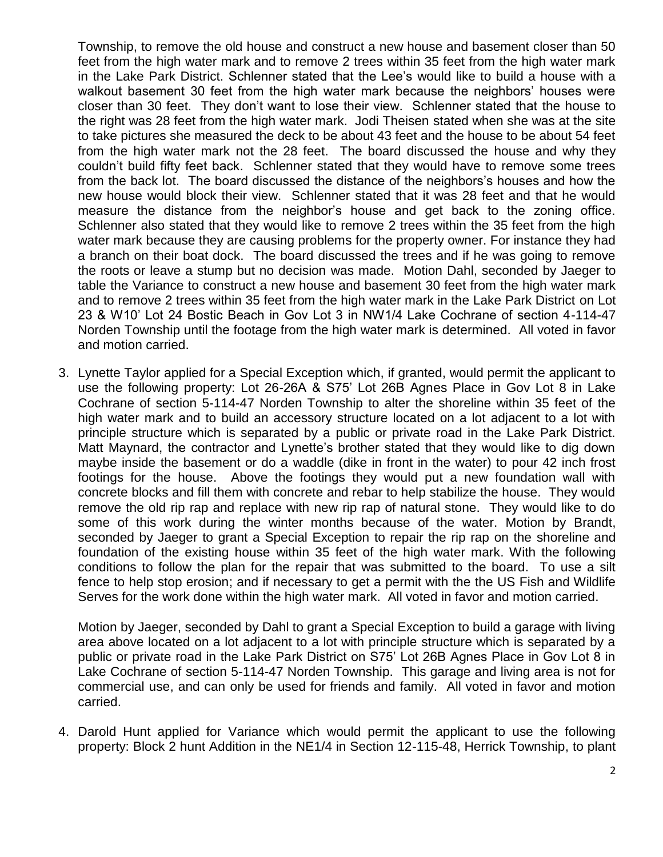Township, to remove the old house and construct a new house and basement closer than 50 feet from the high water mark and to remove 2 trees within 35 feet from the high water mark in the Lake Park District. Schlenner stated that the Lee's would like to build a house with a walkout basement 30 feet from the high water mark because the neighbors' houses were closer than 30 feet. They don't want to lose their view. Schlenner stated that the house to the right was 28 feet from the high water mark. Jodi Theisen stated when she was at the site to take pictures she measured the deck to be about 43 feet and the house to be about 54 feet from the high water mark not the 28 feet. The board discussed the house and why they couldn't build fifty feet back. Schlenner stated that they would have to remove some trees from the back lot. The board discussed the distance of the neighbors's houses and how the new house would block their view. Schlenner stated that it was 28 feet and that he would measure the distance from the neighbor's house and get back to the zoning office. Schlenner also stated that they would like to remove 2 trees within the 35 feet from the high water mark because they are causing problems for the property owner. For instance they had a branch on their boat dock. The board discussed the trees and if he was going to remove the roots or leave a stump but no decision was made. Motion Dahl, seconded by Jaeger to table the Variance to construct a new house and basement 30 feet from the high water mark and to remove 2 trees within 35 feet from the high water mark in the Lake Park District on Lot 23 & W10' Lot 24 Bostic Beach in Gov Lot 3 in NW1/4 Lake Cochrane of section 4-114-47 Norden Township until the footage from the high water mark is determined. All voted in favor and motion carried.

3. Lynette Taylor applied for a Special Exception which, if granted, would permit the applicant to use the following property: Lot 26-26A & S75' Lot 26B Agnes Place in Gov Lot 8 in Lake Cochrane of section 5-114-47 Norden Township to alter the shoreline within 35 feet of the high water mark and to build an accessory structure located on a lot adjacent to a lot with principle structure which is separated by a public or private road in the Lake Park District. Matt Maynard, the contractor and Lynette's brother stated that they would like to dig down maybe inside the basement or do a waddle (dike in front in the water) to pour 42 inch frost footings for the house. Above the footings they would put a new foundation wall with concrete blocks and fill them with concrete and rebar to help stabilize the house. They would remove the old rip rap and replace with new rip rap of natural stone. They would like to do some of this work during the winter months because of the water. Motion by Brandt, seconded by Jaeger to grant a Special Exception to repair the rip rap on the shoreline and foundation of the existing house within 35 feet of the high water mark. With the following conditions to follow the plan for the repair that was submitted to the board. To use a silt fence to help stop erosion; and if necessary to get a permit with the the US Fish and Wildlife Serves for the work done within the high water mark. All voted in favor and motion carried.

Motion by Jaeger, seconded by Dahl to grant a Special Exception to build a garage with living area above located on a lot adjacent to a lot with principle structure which is separated by a public or private road in the Lake Park District on S75' Lot 26B Agnes Place in Gov Lot 8 in Lake Cochrane of section 5-114-47 Norden Township. This garage and living area is not for commercial use, and can only be used for friends and family. All voted in favor and motion carried.

4. Darold Hunt applied for Variance which would permit the applicant to use the following property: Block 2 hunt Addition in the NE1/4 in Section 12-115-48, Herrick Township, to plant